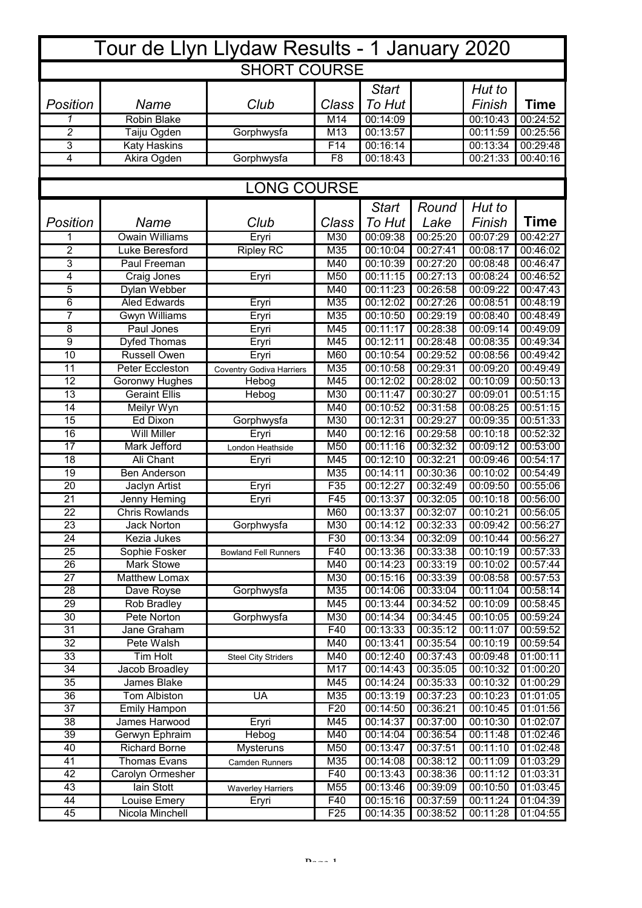| Tour de Llyn Llydaw Results - 1 January 2020 |                       |                                 |                 |              |          |          |             |  |  |  |  |  |  |
|----------------------------------------------|-----------------------|---------------------------------|-----------------|--------------|----------|----------|-------------|--|--|--|--|--|--|
| <b>SHORT COURSE</b>                          |                       |                                 |                 |              |          |          |             |  |  |  |  |  |  |
|                                              |                       |                                 |                 | <b>Start</b> |          | Hut to   |             |  |  |  |  |  |  |
| Position                                     | Name                  | Club                            | Class           | To Hut       |          | Finish   | <b>Time</b> |  |  |  |  |  |  |
| 1                                            | <b>Robin Blake</b>    |                                 | M14             | 00:14:09     |          | 00:10:43 | 00:24:52    |  |  |  |  |  |  |
| $\overline{2}$                               | Taiju Ogden           | Gorphwysfa                      | M13             | 00:13:57     |          | 00:11:59 | 00:25:56    |  |  |  |  |  |  |
| 3                                            | Katy Haskins          |                                 | F14             | 00:16:14     |          | 00:13:34 | 00:29:48    |  |  |  |  |  |  |
| 4                                            | Akira Ogden           | Gorphwysfa                      | F <sub>8</sub>  | 00:18:43     |          | 00:21:33 | 00:40:16    |  |  |  |  |  |  |
|                                              |                       |                                 |                 |              |          |          |             |  |  |  |  |  |  |
| <b>LONG COURSE</b>                           |                       |                                 |                 |              |          |          |             |  |  |  |  |  |  |
|                                              |                       |                                 |                 | <b>Start</b> | Round    | Hut to   |             |  |  |  |  |  |  |
| Position                                     | Name                  | Club                            | Class           | To Hut       | Lake     | Finish   | <b>Time</b> |  |  |  |  |  |  |
| 1                                            | <b>Owain Williams</b> | Eryri                           | M30             | 00:09:38     | 00:25:20 | 00:07:29 | 00:42:27    |  |  |  |  |  |  |
| $\overline{2}$                               | Luke Beresford        | <b>Ripley RC</b>                | M35             | 00:10:04     | 00:27:41 | 00:08:17 | 00:46:02    |  |  |  |  |  |  |
| $\overline{3}$                               | <b>Paul Freeman</b>   |                                 | M40             | 00:10:39     | 00:27:20 | 00:08:48 | 00:46:47    |  |  |  |  |  |  |
| 4                                            | Craig Jones           | Eryri                           | M50             | 00:11:15     | 00:27:13 | 00:08:24 | 00:46:52    |  |  |  |  |  |  |
| $\overline{5}$                               | Dylan Webber          |                                 | M40             | 00:11:23     | 00:26:58 | 00:09:22 | 00:47:43    |  |  |  |  |  |  |
| 6                                            | <b>Aled Edwards</b>   | Eryri                           | M35             | 00:12:02     | 00:27:26 | 00:08:51 | 00:48:19    |  |  |  |  |  |  |
| $\overline{7}$                               | Gwyn Williams         | Eryri                           | M35             | 00:10:50     | 00:29:19 | 00:08:40 | 00:48:49    |  |  |  |  |  |  |
| 8                                            | Paul Jones            | Eryri                           | M45             | 00:11:17     | 00:28:38 | 00:09:14 | 00:49:09    |  |  |  |  |  |  |
| 9                                            | Dyfed Thomas          | Eryri                           | M45             | 00:12:11     | 00:28:48 | 00:08:35 | 00:49:34    |  |  |  |  |  |  |
| $\overline{10}$                              | <b>Russell Owen</b>   | Eryri                           | M60             | 00:10:54     | 00:29:52 | 00:08:56 | 00:49:42    |  |  |  |  |  |  |
| $\overline{11}$                              | Peter Eccleston       | <b>Coventry Godiva Harriers</b> | M35             | 00:10:58     | 00:29:31 | 00:09:20 | 00:49:49    |  |  |  |  |  |  |
| $\overline{12}$                              | Goronwy Hughes        | Hebog                           | M45             | 00:12:02     | 00:28:02 | 00:10:09 | 00:50:13    |  |  |  |  |  |  |
| $\overline{13}$                              | <b>Geraint Ellis</b>  | Hebog                           | M30             | 00:11:47     | 00:30:27 | 00:09:01 | 00:51:15    |  |  |  |  |  |  |
| 14                                           | Meilyr Wyn            |                                 | M40             | 00:10:52     | 00:31:58 | 00:08:25 | 00:51:15    |  |  |  |  |  |  |
| $\overline{15}$                              | Ed Dixon              | Gorphwysfa                      | M30             | 00:12:31     | 00:29:27 | 00:09:35 | 00:51:33    |  |  |  |  |  |  |
| 16                                           | <b>Will Miller</b>    | Eryri                           | M40             | 00:12:16     | 00:29:58 | 00:10:18 | 00:52:32    |  |  |  |  |  |  |
| $\overline{17}$                              | <b>Mark Jefford</b>   | London Heathside                | M50             | 00:11:16     | 00:32:32 | 00:09:12 | 00:53:00    |  |  |  |  |  |  |
| 18                                           | <b>Ali Chant</b>      | Eryri                           | M45             | 00:12:10     | 00:32:21 | 00:09:46 | 00:54:17    |  |  |  |  |  |  |
| 19                                           | Ben Anderson          |                                 | M35             | 00:14:11     | 00:30:36 | 00:10:02 | 00:54:49    |  |  |  |  |  |  |
| $\overline{20}$                              | Jaclyn Artist         | Eryri                           | F35             | 00:12:27     | 00:32:49 | 00:09:50 | 00:55:06    |  |  |  |  |  |  |
| $\overline{21}$                              | Jenny Heming          | Eryri                           | F45             | 00:13:37     | 00:32:05 | 00:10:18 | 00:56:00    |  |  |  |  |  |  |
| $\overline{22}$                              | <b>Chris Rowlands</b> |                                 | M60             | 00:13:37     | 00:32:07 | 00:10:21 | 00:56:05    |  |  |  |  |  |  |
| 23                                           | <b>Jack Norton</b>    | Gorphwysfa                      | M30             | 00:14:12     | 00:32:33 | 00:09:42 | 00:56:27    |  |  |  |  |  |  |
| 24                                           | Kezia Jukes           |                                 | F30             | 00:13:34     | 00:32:09 | 00:10:44 | 00:56:27    |  |  |  |  |  |  |
| $\overline{25}$                              | Sophie Fosker         | <b>Bowland Fell Runners</b>     | F40             | 00:13:36     | 00:33:38 | 00:10:19 | 00:57:33    |  |  |  |  |  |  |
| 26                                           | Mark Stowe            |                                 | M40             | 00:14:23     | 00:33:19 | 00:10:02 | 00:57:44    |  |  |  |  |  |  |
| 27                                           | Matthew Lomax         |                                 | M30             | 00:15:16     | 00:33:39 | 00:08:58 | 00:57:53    |  |  |  |  |  |  |
| 28                                           | Dave Royse            | Gorphwysfa                      | M35             | 00:14:06     | 00:33:04 | 00:11:04 | 00:58:14    |  |  |  |  |  |  |
| 29                                           | Rob Bradley           |                                 | M45             | 00:13:44     | 00:34:52 | 00:10:09 | 00:58:45    |  |  |  |  |  |  |
| 30                                           | Pete Norton           | Gorphwysfa                      | M30             | 00:14:34     | 00:34:45 | 00:10:05 | 00:59:24    |  |  |  |  |  |  |
| 31                                           | Jane Graham           |                                 | F40             | 00:13:33     | 00:35:12 | 00:11:07 | 00:59:52    |  |  |  |  |  |  |
| 32                                           | Pete Walsh            |                                 | M40             | 00:13:41     | 00:35:54 | 00:10:19 | 00:59:54    |  |  |  |  |  |  |
| 33                                           | Tim Holt              | <b>Steel City Striders</b>      | M40             | 00:12:40     | 00:37:43 | 00:09:48 | 01:00:11    |  |  |  |  |  |  |
| 34                                           | Jacob Broadley        |                                 | M17             | 00:14:43     | 00:35:05 | 00:10:32 | 01:00:20    |  |  |  |  |  |  |
| 35                                           | James Blake           |                                 | M45             | 00:14:24     | 00:35:33 | 00:10:32 | 01:00:29    |  |  |  |  |  |  |
| 36                                           | Tom Albiston          | UA                              | M35             | 00:13:19     | 00:37:23 | 00:10:23 | 01:01:05    |  |  |  |  |  |  |
| 37                                           | <b>Emily Hampon</b>   |                                 | F <sub>20</sub> | 00:14:50     | 00:36:21 | 00:10:45 | 01:01:56    |  |  |  |  |  |  |
| 38                                           | James Harwood         | Eryri                           | M45             | 00:14:37     | 00:37:00 | 00:10:30 | 01:02:07    |  |  |  |  |  |  |
| 39                                           | Gerwyn Ephraim        | Hebog                           | M40             | 00:14:04     | 00:36:54 | 00:11:48 | 01:02:46    |  |  |  |  |  |  |
| 40                                           | <b>Richard Borne</b>  | Mysteruns                       | M50             | 00:13:47     | 00:37:51 | 00:11:10 | 01:02:48    |  |  |  |  |  |  |
| 41                                           | Thomas Evans          | <b>Camden Runners</b>           | M35             | 00:14:08     | 00:38:12 | 00:11:09 | 01:03:29    |  |  |  |  |  |  |
| 42                                           | Carolyn Ormesher      |                                 | F40             | 00:13:43     | 00:38:36 | 00:11:12 | 01:03:31    |  |  |  |  |  |  |
| 43                                           | lain Stott            | <b>Waverley Harriers</b>        | M55             | 00:13:46     | 00:39:09 | 00:10:50 | 01:03:45    |  |  |  |  |  |  |
| 44                                           | Louise Emery          | Eryri                           | F40             | 00:15:16     | 00:37:59 | 00:11:24 | 01:04:39    |  |  |  |  |  |  |
| 45                                           | Nicola Minchell       |                                 | F <sub>25</sub> | 00:14:35     | 00:38:52 | 00:11:28 | 01:04:55    |  |  |  |  |  |  |